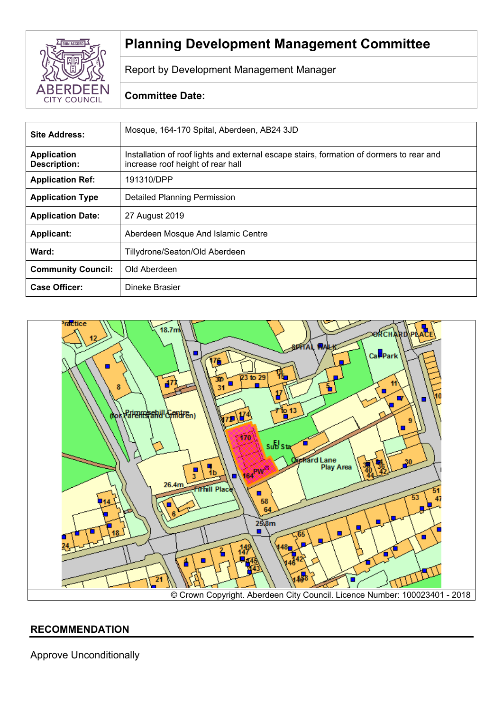

# **Planning Development Management Committee**

Report by Development Management Manager

# **Committee Date:**

| Site Address:                             | Mosque, 164-170 Spital, Aberdeen, AB24 3JD                                                                                    |
|-------------------------------------------|-------------------------------------------------------------------------------------------------------------------------------|
| <b>Application</b><br><b>Description:</b> | Installation of roof lights and external escape stairs, formation of dormers to rear and<br>increase roof height of rear hall |
| <b>Application Ref:</b>                   | 191310/DPP                                                                                                                    |
| <b>Application Type</b>                   | Detailed Planning Permission                                                                                                  |
| <b>Application Date:</b>                  | 27 August 2019                                                                                                                |
| <b>Applicant:</b>                         | Aberdeen Mosque And Islamic Centre                                                                                            |
| Ward:                                     | Tillydrone/Seaton/Old Aberdeen                                                                                                |
| <b>Community Council:</b>                 | Old Aberdeen                                                                                                                  |
| <b>Case Officer:</b>                      | Dineke Brasier                                                                                                                |



# **RECOMMENDATION**

Approve Unconditionally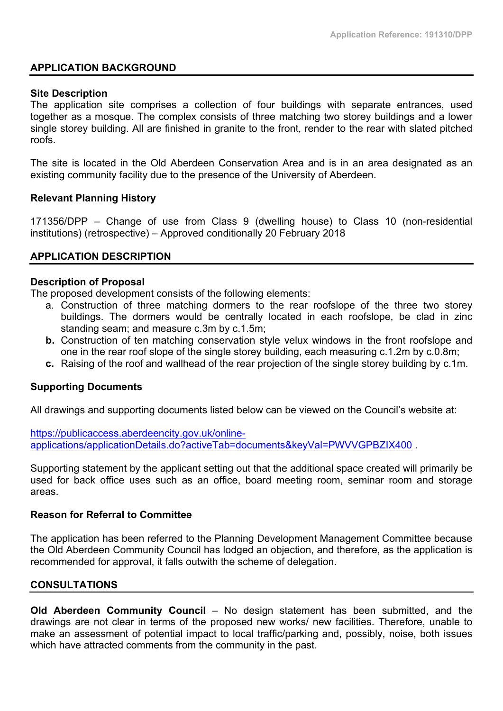#### **APPLICATION BACKGROUND**

#### **Site Description**

The application site comprises a collection of four buildings with separate entrances, used together as a mosque. The complex consists of three matching two storey buildings and a lower single storey building. All are finished in granite to the front, render to the rear with slated pitched roofs.

The site is located in the Old Aberdeen Conservation Area and is in an area designated as an existing community facility due to the presence of the University of Aberdeen.

#### **Relevant Planning History**

171356/DPP – Change of use from Class 9 (dwelling house) to Class 10 (non-residential institutions) (retrospective) – Approved conditionally 20 February 2018

#### **APPLICATION DESCRIPTION**

#### **Description of Proposal**

The proposed development consists of the following elements:

- a. Construction of three matching dormers to the rear roofslope of the three two storey buildings. The dormers would be centrally located in each roofslope, be clad in zinc standing seam; and measure c.3m by c.1.5m;
- **b.** Construction of ten matching conservation style velux windows in the front roofslope and one in the rear roof slope of the single storey building, each measuring c.1.2m by c.0.8m;
- **c.** Raising of the roof and wallhead of the rear projection of the single storey building by c.1m.

#### **Supporting Documents**

All drawings and supporting documents listed below can be viewed on the Council's website at:

[https://publicaccess.aberdeencity.gov.uk/online](https://publicaccess.aberdeencity.gov.uk/online-applications/applicationDetails.do?activeTab=documents&keyVal=PWVVGPBZIX400)[applications/applicationDetails.do?activeTab=documents&keyVal=PWVVGPBZIX400](https://publicaccess.aberdeencity.gov.uk/online-applications/applicationDetails.do?activeTab=documents&keyVal=PWVVGPBZIX400) .

Supporting statement by the applicant setting out that the additional space created will primarily be used for back office uses such as an office, board meeting room, seminar room and storage areas.

#### **Reason for Referral to Committee**

The application has been referred to the Planning Development Management Committee because the Old Aberdeen Community Council has lodged an objection, and therefore, as the application is recommended for approval, it falls outwith the scheme of delegation.

#### **CONSULTATIONS**

**Old Aberdeen Community Council** – No design statement has been submitted, and the drawings are not clear in terms of the proposed new works/ new facilities. Therefore, unable to make an assessment of potential impact to local traffic/parking and, possibly, noise, both issues which have attracted comments from the community in the past.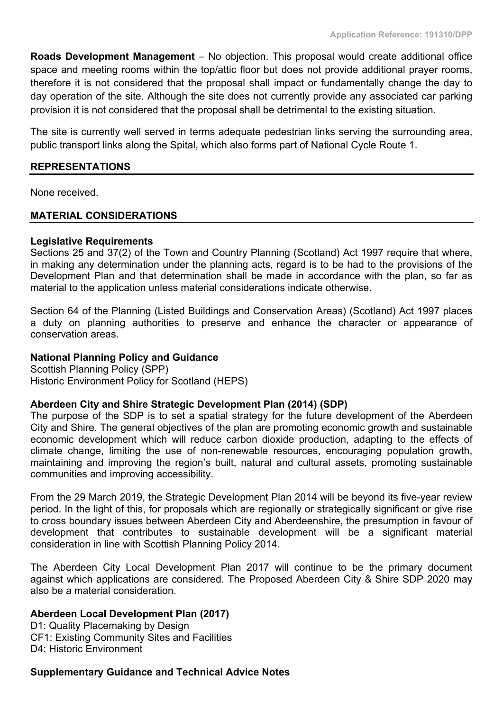**Roads Development Management** – No objection. This proposal would create additional office space and meeting rooms within the top/attic floor but does not provide additional prayer rooms, therefore it is not considered that the proposal shall impact or fundamentally change the day to day operation of the site. Although the site does not currently provide any associated car parking provision it is not considered that the proposal shall be detrimental to the existing situation.

The site is currently well served in terms adequate pedestrian links serving the surrounding area, public transport links along the Spital, which also forms part of National Cycle Route 1.

#### **REPRESENTATIONS**

None received.

# **MATERIAL CONSIDERATIONS**

#### **Legislative Requirements**

Sections 25 and 37(2) of the Town and Country Planning (Scotland) Act 1997 require that where, in making any determination under the planning acts, regard is to be had to the provisions of the Development Plan and that determination shall be made in accordance with the plan, so far as material to the application unless material considerations indicate otherwise.

Section 64 of the Planning (Listed Buildings and Conservation Areas) (Scotland) Act 1997 places a duty on planning authorities to preserve and enhance the character or appearance of conservation areas.

# **National Planning Policy and Guidance**

Scottish Planning Policy (SPP) Historic Environment Policy for Scotland (HEPS)

# **Aberdeen City and Shire Strategic Development Plan (2014) (SDP)**

The purpose of the SDP is to set a spatial strategy for the future development of the Aberdeen City and Shire. The general objectives of the plan are promoting economic growth and sustainable economic development which will reduce carbon dioxide production, adapting to the effects of climate change, limiting the use of non-renewable resources, encouraging population growth, maintaining and improving the region's built, natural and cultural assets, promoting sustainable communities and improving accessibility.

From the 29 March 2019, the Strategic Development Plan 2014 will be beyond its five-year review period. In the light of this, for proposals which are regionally or strategically significant or give rise to cross boundary issues between Aberdeen City and Aberdeenshire, the presumption in favour of development that contributes to sustainable development will be a significant material consideration in line with Scottish Planning Policy 2014.

The Aberdeen City Local Development Plan 2017 will continue to be the primary document against which applications are considered. The Proposed Aberdeen City & Shire SDP 2020 may also be a material consideration.

# **Aberdeen Local Development Plan (2017)**

D1: Quality Placemaking by Design CF1: Existing Community Sites and Facilities D4: Historic Environment

#### **Supplementary Guidance and Technical Advice Notes**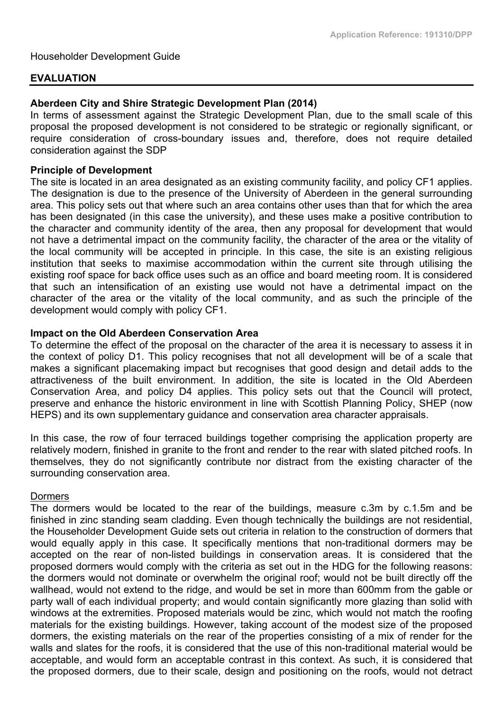#### **EVALUATION**

## **Aberdeen City and Shire Strategic Development Plan (2014)**

In terms of assessment against the Strategic Development Plan, due to the small scale of this proposal the proposed development is not considered to be strategic or regionally significant, or require consideration of cross-boundary issues and, therefore, does not require detailed consideration against the SDP

#### **Principle of Development**

The site is located in an area designated as an existing community facility, and policy CF1 applies. The designation is due to the presence of the University of Aberdeen in the general surrounding area. This policy sets out that where such an area contains other uses than that for which the area has been designated (in this case the university), and these uses make a positive contribution to the character and community identity of the area, then any proposal for development that would not have a detrimental impact on the community facility, the character of the area or the vitality of the local community will be accepted in principle. In this case, the site is an existing religious institution that seeks to maximise accommodation within the current site through utilising the existing roof space for back office uses such as an office and board meeting room. It is considered that such an intensification of an existing use would not have a detrimental impact on the character of the area or the vitality of the local community, and as such the principle of the development would comply with policy CF1.

#### **Impact on the Old Aberdeen Conservation Area**

To determine the effect of the proposal on the character of the area it is necessary to assess it in the context of policy D1. This policy recognises that not all development will be of a scale that makes a significant placemaking impact but recognises that good design and detail adds to the attractiveness of the built environment. In addition, the site is located in the Old Aberdeen Conservation Area, and policy D4 applies. This policy sets out that the Council will protect, preserve and enhance the historic environment in line with Scottish Planning Policy, SHEP (now HEPS) and its own supplementary guidance and conservation area character appraisals.

In this case, the row of four terraced buildings together comprising the application property are relatively modern, finished in granite to the front and render to the rear with slated pitched roofs. In themselves, they do not significantly contribute nor distract from the existing character of the surrounding conservation area.

#### Dormers

The dormers would be located to the rear of the buildings, measure c.3m by c.1.5m and be finished in zinc standing seam cladding. Even though technically the buildings are not residential, the Householder Development Guide sets out criteria in relation to the construction of dormers that would equally apply in this case. It specifically mentions that non-traditional dormers may be accepted on the rear of non-listed buildings in conservation areas. It is considered that the proposed dormers would comply with the criteria as set out in the HDG for the following reasons: the dormers would not dominate or overwhelm the original roof; would not be built directly off the wallhead, would not extend to the ridge, and would be set in more than 600mm from the gable or party wall of each individual property; and would contain significantly more glazing than solid with windows at the extremities. Proposed materials would be zinc, which would not match the roofing materials for the existing buildings. However, taking account of the modest size of the proposed dormers, the existing materials on the rear of the properties consisting of a mix of render for the walls and slates for the roofs, it is considered that the use of this non-traditional material would be acceptable, and would form an acceptable contrast in this context. As such, it is considered that the proposed dormers, due to their scale, design and positioning on the roofs, would not detract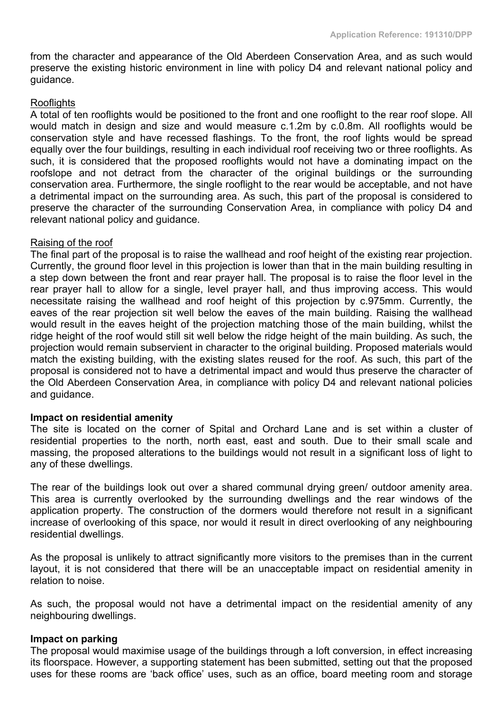from the character and appearance of the Old Aberdeen Conservation Area, and as such would preserve the existing historic environment in line with policy D4 and relevant national policy and guidance.

## Rooflights

A total of ten rooflights would be positioned to the front and one rooflight to the rear roof slope. All would match in design and size and would measure c.1.2m by c.0.8m. All rooflights would be conservation style and have recessed flashings. To the front, the roof lights would be spread equally over the four buildings, resulting in each individual roof receiving two or three rooflights. As such, it is considered that the proposed rooflights would not have a dominating impact on the roofslope and not detract from the character of the original buildings or the surrounding conservation area. Furthermore, the single rooflight to the rear would be acceptable, and not have a detrimental impact on the surrounding area. As such, this part of the proposal is considered to preserve the character of the surrounding Conservation Area, in compliance with policy D4 and relevant national policy and guidance.

#### Raising of the roof

The final part of the proposal is to raise the wallhead and roof height of the existing rear projection. Currently, the ground floor level in this projection is lower than that in the main building resulting in a step down between the front and rear prayer hall. The proposal is to raise the floor level in the rear prayer hall to allow for a single, level prayer hall, and thus improving access. This would necessitate raising the wallhead and roof height of this projection by c.975mm. Currently, the eaves of the rear projection sit well below the eaves of the main building. Raising the wallhead would result in the eaves height of the projection matching those of the main building, whilst the ridge height of the roof would still sit well below the ridge height of the main building. As such, the projection would remain subservient in character to the original building. Proposed materials would match the existing building, with the existing slates reused for the roof. As such, this part of the proposal is considered not to have a detrimental impact and would thus preserve the character of the Old Aberdeen Conservation Area, in compliance with policy D4 and relevant national policies and guidance.

# **Impact on residential amenity**

The site is located on the corner of Spital and Orchard Lane and is set within a cluster of residential properties to the north, north east, east and south. Due to their small scale and massing, the proposed alterations to the buildings would not result in a significant loss of light to any of these dwellings.

The rear of the buildings look out over a shared communal drying green/ outdoor amenity area. This area is currently overlooked by the surrounding dwellings and the rear windows of the application property. The construction of the dormers would therefore not result in a significant increase of overlooking of this space, nor would it result in direct overlooking of any neighbouring residential dwellings.

As the proposal is unlikely to attract significantly more visitors to the premises than in the current layout, it is not considered that there will be an unacceptable impact on residential amenity in relation to noise.

As such, the proposal would not have a detrimental impact on the residential amenity of any neighbouring dwellings.

#### **Impact on parking**

The proposal would maximise usage of the buildings through a loft conversion, in effect increasing its floorspace. However, a supporting statement has been submitted, setting out that the proposed uses for these rooms are 'back office' uses, such as an office, board meeting room and storage